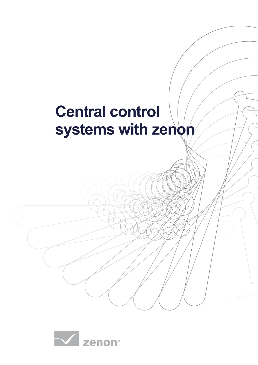# **Central control systems with zenon**

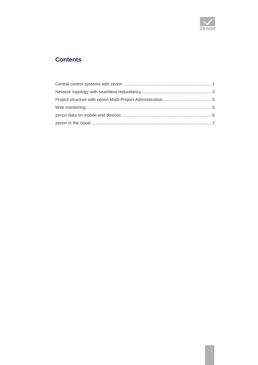

# **Contents**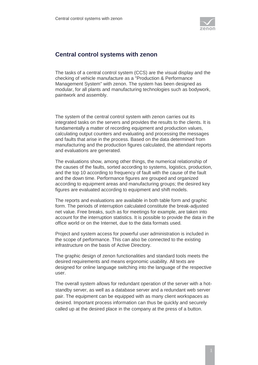

### <span id="page-2-0"></span>**Central control systems with zenon**

The tasks of a central control system (CCS) are the visual display and the checking of vehicle manufacture as a "Production & Performance Management System" with zenon. The system has been designed as modular, for all plants and manufacturing technologies such as bodywork, paintwork and assembly.

The system of the central control system with zenon carries out its integrated tasks on the servers and provides the results to the clients. It is fundamentally a matter of recording equipment and production values, calculating output counters and evaluating and processing the messages and faults that arise in the process. Based on the data determined from manufacturing and the production figures calculated, the attendant reports and evaluations are generated.

The evaluations show, among other things, the numerical relationship of the causes of the faults, sorted according to systems, logistics, production, and the top 10 according to frequency of fault with the cause of the fault and the down time. Performance figures are grouped and organized according to equipment areas and manufacturing groups; the desired key figures are evaluated according to equipment and shift models.

The reports and evaluations are available in both table form and graphic form. The periods of interruption calculated constitute the break-adjusted net value. Free breaks, such as for meetings for example, are taken into account for the interruption statistics. It is possible to provide the data in the office world or on the Internet, due to the data formats used.

Project and system access for powerful user administration is included in the scope of performance. This can also be connected to the existing infrastructure on the basis of Active Directory.

The graphic design of zenon functionalities and standard tools meets the desired requirements and means ergonomic usability. All texts are designed for online language switching into the language of the respective user.

The overall system allows for redundant operation of the server with a hotstandby server, as well as a database server and a redundant web server pair. The equipment can be equipped with as many client workspaces as desired. Important process information can thus be quickly and securely called up at the desired place in the company at the press of a button.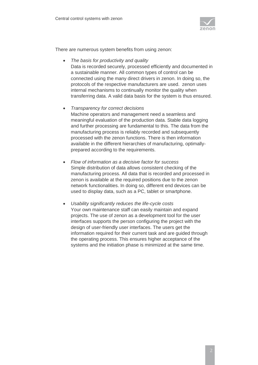

There are numerous system benefits from using zenon:

- *The basis for productivity and quality* Data is recorded securely, processed efficiently and documented in a sustainable manner. All common types of control can be connected using the many direct drivers in zenon. In doing so, the protocols of the respective manufacturers are used. zenon uses internal mechanisms to continually monitor the quality when transferring data. A valid data basis for the system is thus ensured.
- *Transparency for correct decisions* Machine operators and management need a seamless and meaningful evaluation of the production data. Stable data logging and further processing are fundamental to this. The data from the manufacturing process is reliably recorded and subsequently processed with the zenon functions. There is then information available in the different hierarchies of manufacturing, optimallyprepared according to the requirements.
- *Flow of information as a decisive factor for success* Simple distribution of data allows consistent checking of the manufacturing process. All data that is recorded and processed in zenon is available at the required positions due to the zenon network functionalities. In doing so, different end devices can be used to display data, such as a PC, tablet or smartphone.
- *Usability significantly reduces the life-cycle costs* Your own maintenance staff can easily maintain and expand projects. The use of zenon as a development tool for the user interfaces supports the person configuring the project with the design of user-friendly user interfaces. The users get the information required for their current task and are guided through the operating process. This ensures higher acceptance of the systems and the initiation phase is minimized at the same time.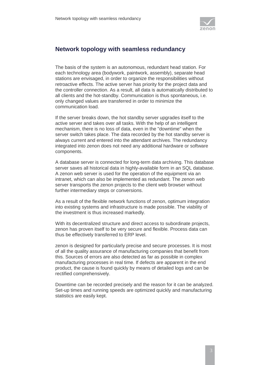

## <span id="page-4-0"></span>**Network topology with seamless redundancy**

The basis of the system is an autonomous, redundant head station. For each technology area (bodywork, paintwork, assembly), separate head stations are envisaged, in order to organize the responsibilities without retroactive effects. The active server has priority for the project data and the controller connection. As a result, all data is automatically distributed to all clients and the hot-standby. Communication is thus spontaneous, i.e. only changed values are transferred in order to minimize the communication load.

If the server breaks down, the hot standby server upgrades itself to the active server and takes over all tasks. With the help of an intelligent mechanism, there is no loss of data, even in the "downtime" when the server switch takes place. The data recorded by the hot standby server is always current and entered into the attendant archives. The redundancy integrated into zenon does not need any additional hardware or software components.

A database server is connected for long-term data archiving. This database server saves all historical data in highly-available form in an SQL database. A zenon web server is used for the operation of the equipment via an intranet, which can also be implemented as redundant. The zenon web server transports the zenon projects to the client web browser without further intermediary steps or conversions.

As a result of the flexible network functions of zenon, optimum integration into existing systems and infrastructure is made possible. The viability of the investment is thus increased markedly.

With its decentralized structure and direct access to subordinate projects, zenon has proven itself to be very secure and flexible. Process data can thus be effectively transferred to ERP level.

zenon is designed for particularly precise and secure processes. It is most of all the quality assurance of manufacturing companies that benefit from this. Sources of errors are also detected as far as possible in complex manufacturing processes in real time. If defects are apparent in the end product, the cause is found quickly by means of detailed logs and can be rectified comprehensively.

Downtime can be recorded precisely and the reason for it can be analyzed. Set-up times and running speeds are optimized quickly and manufacturing statistics are easily kept.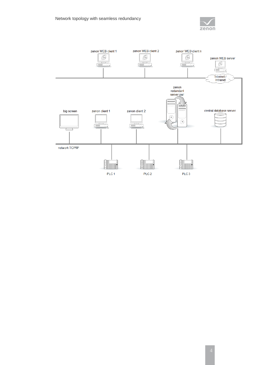

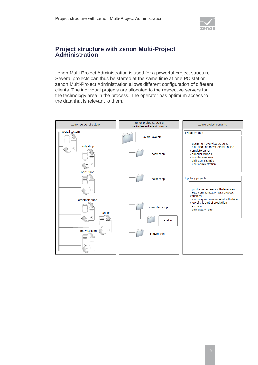

#### <span id="page-6-0"></span>**Project structure with zenon Multi-Project Administration**

zenon Multi-Project Administration is used for a powerful project structure. Several projects can thus be started at the same time at one PC station. zenon Multi-Project Administration allows different configuration of different clients. The individual projects are allocated to the respective servers for the technology area in the process. The operator has optimum access to the data that is relevant to them.

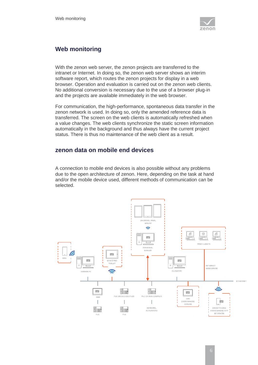

## <span id="page-7-0"></span>**Web monitoring**

With the zenon web server, the zenon projects are transferred to the intranet or Internet. In doing so, the zenon web server shows an interim software report, which routes the zenon projects for display in a web browser. Operation and evaluation is carried out on the zenon web clients. No additional conversion is necessary due to the use of a browser plug-in and the projects are available immediately in the web browser.

For communication, the high-performance, spontaneous data transfer in the zenon network is used. In doing so, only the amended reference data is transferred. The screen on the web clients is automatically refreshed when a value changes. The web clients synchronize the static screen information automatically in the background and thus always have the current project status. There is thus no maintenance of the web client as a result.

#### <span id="page-7-1"></span>**zenon data on mobile end devices**

A connection to mobile end devices is also possible without any problems due to the open architecture of zenon. Here, depending on the task at hand and/or the mobile device used, different methods of communication can be selected.

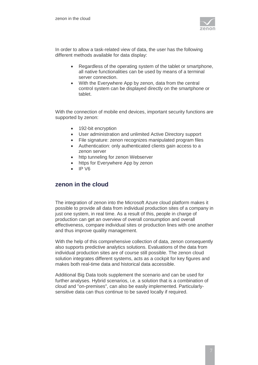

In order to allow a task-related view of data, the user has the following different methods available for data display:

- Regardless of the operating system of the tablet or smartphone, all native functionalities can be used by means of a terminal server connection.
- With the Everywhere App by zenon, data from the central control system can be displayed directly on the smartphone or tablet.

With the connection of mobile end devices, important security functions are supported by zenon:

- 192-bit encryption
- User administration and unlimited Active Directory support
- File signature: zenon recognizes manipulated program files
- Authentication: only authenticated clients gain access to a zenon server
- http tunneling for zenon Webserver
- https for Everywhere App by zenon
- IP V6

#### <span id="page-8-0"></span>**zenon in the cloud**

The integration of zenon into the Microsoft Azure cloud platform makes it possible to provide all data from individual production sites of a company in just one system, in real time. As a result of this, people in charge of production can get an overview of overall consumption and overall effectiveness, compare individual sites or production lines with one another and thus improve quality management.

With the help of this comprehensive collection of data, zenon consequently also supports predictive analytics solutions. Evaluations of the data from individual production sites are of course still possible. The zenon cloud solution integrates different systems, acts as a cockpit for key figures and makes both real-time data and historical data accessible.

Additional Big Data tools supplement the scenario and can be used for further analyses. Hybrid scenarios, i.e. a solution that is a combination of cloud and "on-premises", can also be easily implemented. Particularlysensitive data can thus continue to be saved locally if required.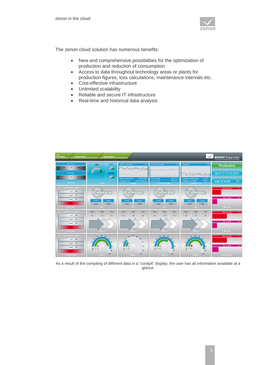

The zenon cloud solution has numerous benefits:

- New and comprehensive possibilities for the optimization of production and reduction of consumption
- Access to data throughout technology areas or plants for production figures, loss calculations, maintenance intervals etc.
- Cost-effective infrastructure
- Unlimited scalability
- Reliable and secure IT infrastructure
- Real-time and historical data analysis



As a result of the compiling of different data in a "cockpit" display, the user has all information available at a glance*.*